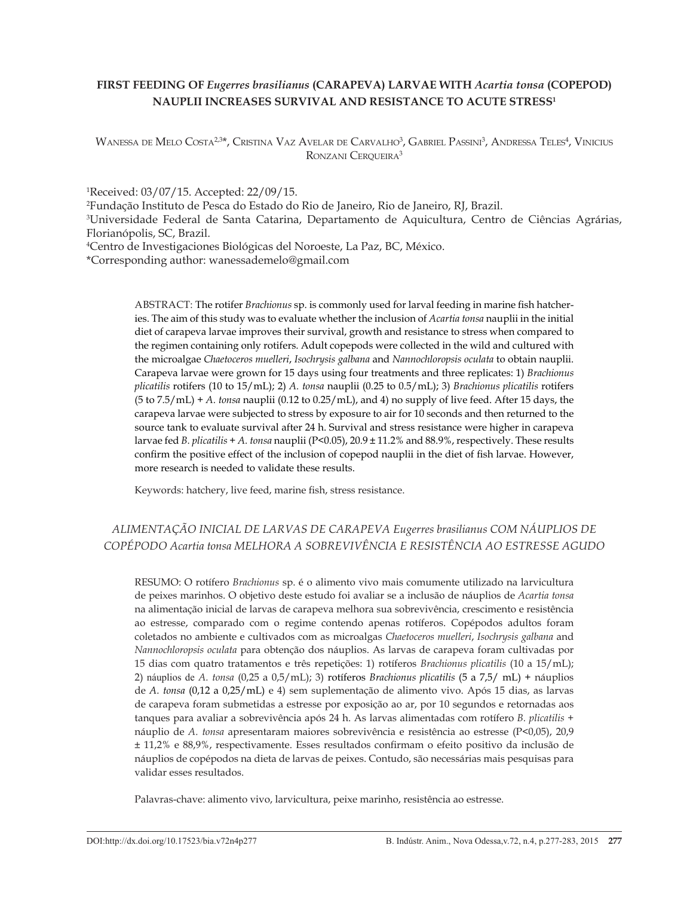# **FIRST FEEDING OF** *Eugerres brasilianus* **(CARAPEVA) LARVAE WITH** *Acartia tonsa* **(COPEPOD) NAUPLII INCREASES SURVIVAL AND RESISTANCE TO ACUTE STRESS1**

Wanessa de Melo Costa<sup>2,3</sup>\*, Cristina Vaz Avelar de Carvalho<sup>3</sup>, Gabriel Passini<sup>3</sup>, Andressa Teles<sup>4</sup>, Vinicius RONZANI CERQUEIRA<sup>3</sup>

1 Received: 03/07/15. Accepted: 22/09/15.

2 Fundação Instituto de Pesca do Estado do Rio de Janeiro, Rio de Janeiro, RJ, Brazil.

3 Universidade Federal de Santa Catarina, Departamento de Aquicultura, Centro de Ciências Agrárias, Florianópolis, SC, Brazil.

4 Centro de Investigaciones Biológicas del Noroeste, La Paz, BC, México.

\*Corresponding author: [wanessademelo@gmail.com](mailto:wanessademelo@gmail.com)

ABSTRACT: The rotifer *Brachionus* sp. is commonly used for larval feeding in marine fish hatcheries. The aim of this study was to evaluate whether the inclusion of *Acartia tonsa* nauplii in the initial diet of carapeva larvae improves their survival, growth and resistance to stress when compared to the regimen containing only rotifers. Adult copepods were collected in the wild and cultured with the microalgae *Chaetoceros muelleri*, *Isochrysis galbana* and *Nannochloropsis oculata* to obtain nauplii. Carapeva larvae were grown for 15 days using four treatments and three replicates: 1) *Brachionus plicatilis* rotifers (10 to 15/mL); 2) *A. tonsa* nauplii (0.25 to 0.5/mL); 3) *Brachionus plicatilis* rotifers (5 to 7.5/mL) + *A. tonsa* nauplii (0.12 to 0.25/mL), and 4) no supply of live feed. After 15 days, the carapeva larvae were subjected to stress by exposure to air for 10 seconds and then returned to the source tank to evaluate survival after 24 h. Survival and stress resistance were higher in carapeva larvae fed *B. plicatilis* + *A. tonsa* nauplii (P<0.05), 20.9 ± 11.2% and 88.9%, respectively. These results confirm the positive effect of the inclusion of copepod nauplii in the diet of fish larvae. However, more research is needed to validate these results.

Keywords: hatchery, live feed, marine fish, stress resistance.

# *ALIMENTAÇÃO INICIAL DE LARVAS DE CARAPEVA Eugerres brasilianus COM NÁUPLIOS DE COPÉPODO Acartia tonsa MELHORA A SOBREVIVÊNCIA E RESISTÊNCIA AO ESTRESSE AGUDO*

RESUMO: O rotífero *Brachionus* sp. é o alimento vivo mais comumente utilizado na larvicultura de peixes marinhos. O objetivo deste estudo foi avaliar se a inclusão de náuplios de *Acartia tonsa* na alimentação inicial de larvas de carapeva melhora sua sobrevivência, crescimento e resistência ao estresse, comparado com o regime contendo apenas rotíferos. Copépodos adultos foram coletados no ambiente e cultivados com as microalgas *Chaetoceros muelleri*, *Isochrysis galbana* and *Nannochloropsis oculata* para obtenção dos náuplios. As larvas de carapeva foram cultivadas por 15 dias com quatro tratamentos e três repetições: 1) rotíferos *Brachionus plicatilis* (10 a 15/mL); 2) náuplios de *A. tonsa* (0,25 a 0,5/mL); 3) rotíferos *Brachionus plicatilis* (5 a 7,5/ mL) + náuplios de *A. tonsa* (0,12 a 0,25/mL) e 4) sem suplementação de alimento vivo. Após 15 dias, as larvas de carapeva foram submetidas a estresse por exposição ao ar, por 10 segundos e retornadas aos tanques para avaliar a sobrevivência após 24 h. As larvas alimentadas com rotífero *B. plicatilis* + náuplio de *A. tonsa* apresentaram maiores sobrevivência e resistência ao estresse (P<0,05), 20,9 ± 11,2% e 88,9%, respectivamente. Esses resultados confirmam o efeito positivo da inclusão de náuplios de copépodos na dieta de larvas de peixes. Contudo, são necessárias mais pesquisas para validar esses resultados.

Palavras-chave: alimento vivo, larvicultura, peixe marinho, resistência ao estresse.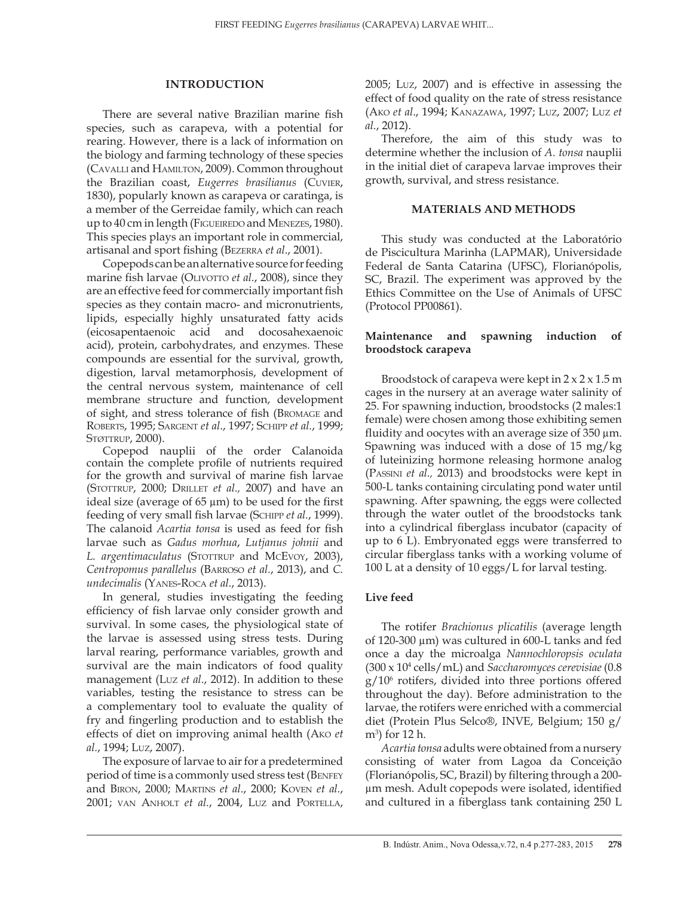## **INTRODUCTION**

There are several native Brazilian marine fish species, such as carapeva, with a potential for rearing. However, there is a lack of information on the biology and farming technology of these species (Cavalli and Hamilton, 2009). Common throughout the Brazilian coast, *Eugerres brasilianus* (Cuvier, 1830), popularly known as carapeva or caratinga, is a member of the Gerreidae family, which can reach up to 40 cm in length (Figueiredo and Menezes, 1980). This species plays an important role in commercial, artisanal and sport fishing (Bezerra *et al*., 2001).

Copepods can be an alternative source for feeding marine fish larvae (OLIVOTTO *et al.*, 2008), since they are an effective feed for commercially important fish species as they contain macro- and micronutrients, lipids, especially highly unsaturated fatty acids (eicosapentaenoic acid and docosahexaenoic acid), protein, carbohydrates, and enzymes. These compounds are essential for the survival, growth, digestion, larval metamorphosis, development of the central nervous system, maintenance of cell membrane structure and function, development of sight, and stress tolerance of fish (Bromage and Roberts, 1995; Sargent *et al*., 1997; Schipp *et al.*, 1999; STØTTRUP, 2000).

Copepod nauplii of the order Calanoida contain the complete profile of nutrients required for the growth and survival of marine fish larvae (STOTTRUP, 2000; DRILLET *et al.*, 2007) and have an ideal size (average of  $65 \mu m$ ) to be used for the first feeding of very small fish larvae (Schipp *et al.*, 1999). The calanoid *Acartia tonsa* is used as feed for fish larvae such as *Gadus morhua*, *Lutjanus johnii* and L. argentimaculatus (STOTTRUP and McEvoy, 2003), *Centropomus parallelus* (Barroso *et al.*, 2013), and *C. undecimalis* (Yanes-Roca *et al.*, 2013).

In general, studies investigating the feeding efficiency of fish larvae only consider growth and survival. In some cases, the physiological state of the larvae is assessed using stress tests. During larval rearing, performance variables, growth and survival are the main indicators of food quality management (Luz *et al*., 2012). In addition to these variables, testing the resistance to stress can be a complementary tool to evaluate the quality of fry and fingerling production and to establish the effects of diet on improving animal health (Ako *et al.*, 1994; Luz, 2007).

The exposure of larvae to air for a predetermined period of time is a commonly used stress test (Benfey and Biron, 2000; Martins *et al*., 2000; Koven *et al.*, 2001; van Anholt *et al.*, 2004, Luz and Portella, 2005; Luz, 2007) and is effective in assessing the effect of food quality on the rate of stress resistance (Ako *et al*., 1994; Kanazawa, 1997; Luz, 2007; Luz *et al.*, 2012).

Therefore, the aim of this study was to determine whether the inclusion of *A. tonsa* nauplii in the initial diet of carapeva larvae improves their growth, survival, and stress resistance.

## **MATERIALS AND METHODS**

This study was conducted at the Laboratório de Piscicultura Marinha (LAPMAR), Universidade Federal de Santa Catarina (UFSC), Florianópolis, SC, Brazil. The experiment was approved by the Ethics Committee on the Use of Animals of UFSC (Protocol PP00861).

# **Maintenance and spawning induction of broodstock carapeva**

Broodstock of carapeva were kept in  $2 \times 2 \times 1.5$  m cages in the nursery at an average water salinity of 25. For spawning induction, broodstocks (2 males:1 female) were chosen among those exhibiting semen fluidity and oocytes with an average size of  $350 \mu m$ . Spawning was induced with a dose of 15 mg/kg of luteinizing hormone releasing hormone analog (Passini *et al.,* 2013) and broodstocks were kept in 500-L tanks containing circulating pond water until spawning. After spawning, the eggs were collected through the water outlet of the broodstocks tank into a cylindrical fiberglass incubator (capacity of up to 6 L). Embryonated eggs were transferred to circular fiberglass tanks with a working volume of 100 L at a density of 10 eggs/L for larval testing.

# **Live feed**

The rotifer *Brachionus plicatilis* (average length of 120-300 µm) was cultured in 600-L tanks and fed once a day the microalga *Nannochloropsis oculata* (300 x 104 cells/mL) and *Saccharomyces cerevisiae* (0.8 g/106 rotifers, divided into three portions offered throughout the day). Before administration to the larvae, the rotifers were enriched with a commercial diet (Protein Plus Selco®, INVE, Belgium; 150 g/ m3 ) for 12 h.

*Acartia tonsa* adults were obtained from a nursery consisting of water from Lagoa da Conceição (Florianópolis, SC, Brazil) by filtering through a 200 µm mesh. Adult copepods were isolated, identified and cultured in a fiberglass tank containing 250 L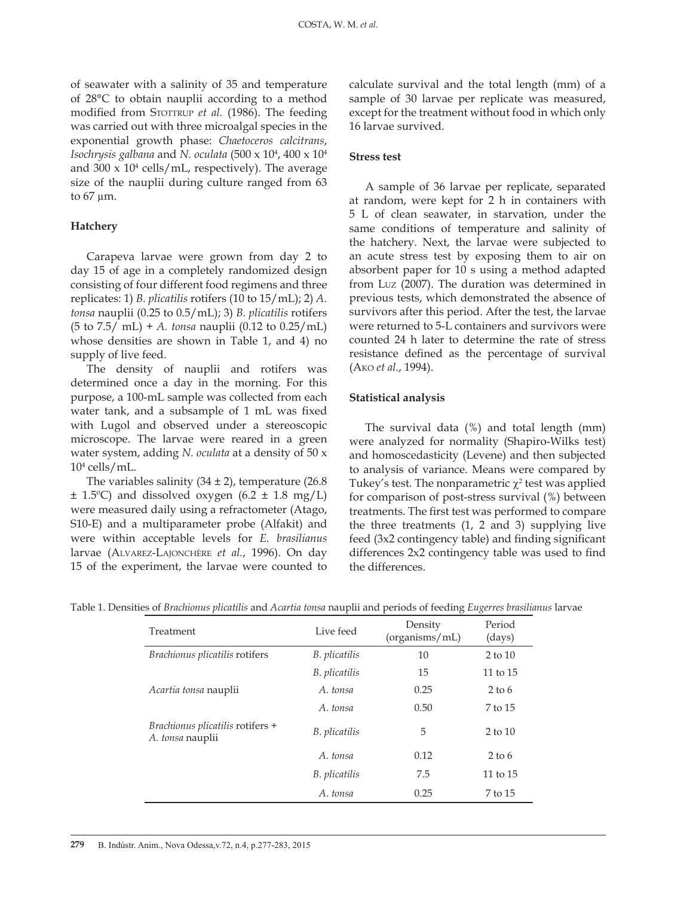of seawater with a salinity of 35 and temperature of 28°C to obtain nauplii according to a method modified from STOTTRUP et al. (1986). The feeding was carried out with three microalgal species in the exponential growth phase: *Chaetoceros calcitrans*, *Isochrysis galbana* and *N. oculata* (500 x 104 , 400 x 104 and 300 x 104 cells/mL, respectively). The average size of the nauplii during culture ranged from 63 to  $67 \mu m$ .

### **Hatchery**

Carapeva larvae were grown from day 2 to day 15 of age in a completely randomized design consisting of four different food regimens and three replicates: 1) *B. plicatilis* rotifers (10 to 15/mL); 2) *A. tonsa* nauplii (0.25 to 0.5/mL); 3) *B. plicatilis* rotifers (5 to 7.5/ mL) + *A. tonsa* nauplii (0.12 to 0.25/mL) whose densities are shown in Table 1, and 4) no supply of live feed.

The density of nauplii and rotifers was determined once a day in the morning. For this purpose, a 100-mL sample was collected from each water tank, and a subsample of 1 mL was fixed with Lugol and observed under a stereoscopic microscope. The larvae were reared in a green water system, adding *N. oculata* at a density of 50 x 104 cells/mL.

The variables salinity  $(34 \pm 2)$ , temperature  $(26.8)$  $\pm$  1.5°C) and dissolved oxygen (6.2  $\pm$  1.8 mg/L) were measured daily using a refractometer (Atago, S10-E) and a multiparameter probe (Alfakit) and were within acceptable levels for *E. brasilianus* larvae (Alvarez-Lajonchère *et al.*, 1996). On day 15 of the experiment, the larvae were counted to

calculate survival and the total length (mm) of a sample of 30 larvae per replicate was measured, except for the treatment without food in which only 16 larvae survived.

# **Stress test**

A sample of 36 larvae per replicate, separated at random, were kept for 2 h in containers with 5 L of clean seawater, in starvation, under the same conditions of temperature and salinity of the hatchery. Next, the larvae were subjected to an acute stress test by exposing them to air on absorbent paper for 10 s using a method adapted from Luz (2007). The duration was determined in previous tests, which demonstrated the absence of survivors after this period. After the test, the larvae were returned to 5-L containers and survivors were counted 24 h later to determine the rate of stress resistance defined as the percentage of survival (Ako *et al.*, 1994).

#### **Statistical analysis**

The survival data (%) and total length (mm) were analyzed for normality (Shapiro-Wilks test) and homoscedasticity (Levene) and then subjected to analysis of variance. Means were compared by Tukey's test. The nonparametric  $\chi^2$  test was applied for comparison of post-stress survival (%) between treatments. The first test was performed to compare the three treatments (1, 2 and 3) supplying live feed (3x2 contingency table) and finding significant differences 2x2 contingency table was used to find the differences.

| Treatment                                            | Live feed     | Density<br>(organisms/mL) | Period<br>(days) |
|------------------------------------------------------|---------------|---------------------------|------------------|
| Brachionus plicatilis rotifers                       | B. plicatilis | 10                        | $2$ to $10$      |
|                                                      | B. plicatilis | 15                        | 11 to 15         |
| Acartia tonsa nauplii                                | A. tonsa      | 0.25                      | $2$ to 6         |
|                                                      | A. tonsa      | 0.50                      | 7 to 15          |
| Brachionus plicatilis rotifers +<br>A. tonsa nauplii | B. plicatilis | 5                         | $2$ to $10$      |
|                                                      | A. tonsa      | 0.12                      | $2$ to 6         |
|                                                      | B. plicatilis | 7.5                       | 11 to $15$       |
|                                                      | A. tonsa      | 0.25                      | 7 to 15          |

Table 1. Densities of *Brachionus plicatilis* and *Acartia tonsa* nauplii and periods of feeding *Eugerres brasilianus* larvae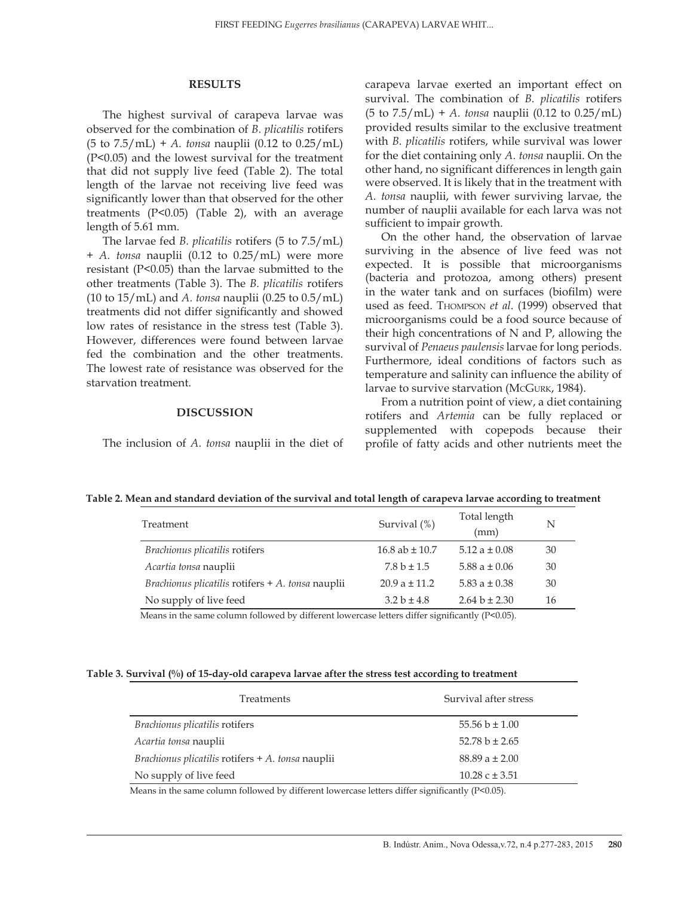#### **RESULTS**

The highest survival of carapeva larvae was observed for the combination of *B. plicatilis* rotifers (5 to 7.5/mL) + *A. tonsa* nauplii (0.12 to 0.25/mL) (P<0.05) and the lowest survival for the treatment that did not supply live feed (Table 2). The total length of the larvae not receiving live feed was significantly lower than that observed for the other treatments (P<0.05) (Table 2), with an average length of 5.61 mm.

The larvae fed *B. plicatilis* rotifers (5 to 7.5/mL) + *A. tonsa* nauplii (0.12 to 0.25/mL) were more resistant (P<0.05) than the larvae submitted to the other treatments (Table 3). The *B. plicatilis* rotifers (10 to 15/mL) and *A. tonsa* nauplii (0.25 to 0.5/mL) treatments did not differ significantly and showed low rates of resistance in the stress test (Table 3). However, differences were found between larvae fed the combination and the other treatments. The lowest rate of resistance was observed for the starvation treatment.

#### **DISCUSSION**

The inclusion of *A. tonsa* nauplii in the diet of

carapeva larvae exerted an important effect on survival. The combination of *B. plicatilis* rotifers (5 to 7.5/mL) + *A. tonsa* nauplii (0.12 to 0.25/mL) provided results similar to the exclusive treatment with *B. plicatilis* rotifers, while survival was lower for the diet containing only *A. tonsa* nauplii. On the other hand, no significant differences in length gain were observed. It is likely that in the treatment with *A. tonsa* nauplii, with fewer surviving larvae, the number of nauplii available for each larva was not sufficient to impair growth.

On the other hand, the observation of larvae surviving in the absence of live feed was not expected. It is possible that microorganisms (bacteria and protozoa, among others) present in the water tank and on surfaces (biofilm) were used as feed. Thompson *et al*. (1999) observed that microorganisms could be a food source because of their high concentrations of N and P, allowing the survival of *Penaeus paulensis* larvae for long periods. Furthermore, ideal conditions of factors such as temperature and salinity can influence the ability of larvae to survive starvation (McGurk, 1984).

From a nutrition point of view, a diet containing rotifers and *Artemia* can be fully replaced or supplemented with copepods because their profile of fatty acids and other nutrients meet the

| Table 2. Mean and standard deviation of the survival and total length of carapeva larvae according to treatment |  |  |
|-----------------------------------------------------------------------------------------------------------------|--|--|
|                                                                                                                 |  |  |

| Treatment                                                  | Survival $(\%)$    | Total length<br>(mm) | N  |
|------------------------------------------------------------|--------------------|----------------------|----|
| Brachionus plicatilis rotifers                             | 16.8 ab $\pm$ 10.7 | 5.12 a $\pm$ 0.08    | 30 |
| Acartia tonsa nauplii                                      | $7.8 b \pm 1.5$    | 5.88 a $\pm$ 0.06    | 30 |
| <i>Brachionus plicatilis</i> rotifers $+$ A. tonsa nauplii | $20.9a \pm 11.2$   | 5.83 a $\pm$ 0.38    | 30 |
| No supply of live feed                                     | $3.2 b \pm 4.8$    | $2.64 b \pm 2.30$    | 16 |

Means in the same column followed by different lowercase letters differ significantly (P<0.05).

### **Table 3. Survival (%) of 15-day-old carapeva larvae after the stress test according to treatment**

| <b>Treatments</b>                                          | Survival after stress      |
|------------------------------------------------------------|----------------------------|
| Brachionus plicatilis rotifers                             | 55.56 $b \pm 1.00$         |
| Acartia tonsa nauplii                                      | $52.78 b \pm 2.65$         |
| <i>Brachionus plicatilis</i> rotifers $+$ A. tonsa nauplii | $88.89a \pm 2.00$          |
| No supply of live feed                                     | $10.28 \text{ c} \pm 3.51$ |

Means in the same column followed by different lowercase letters differ significantly (P<0.05).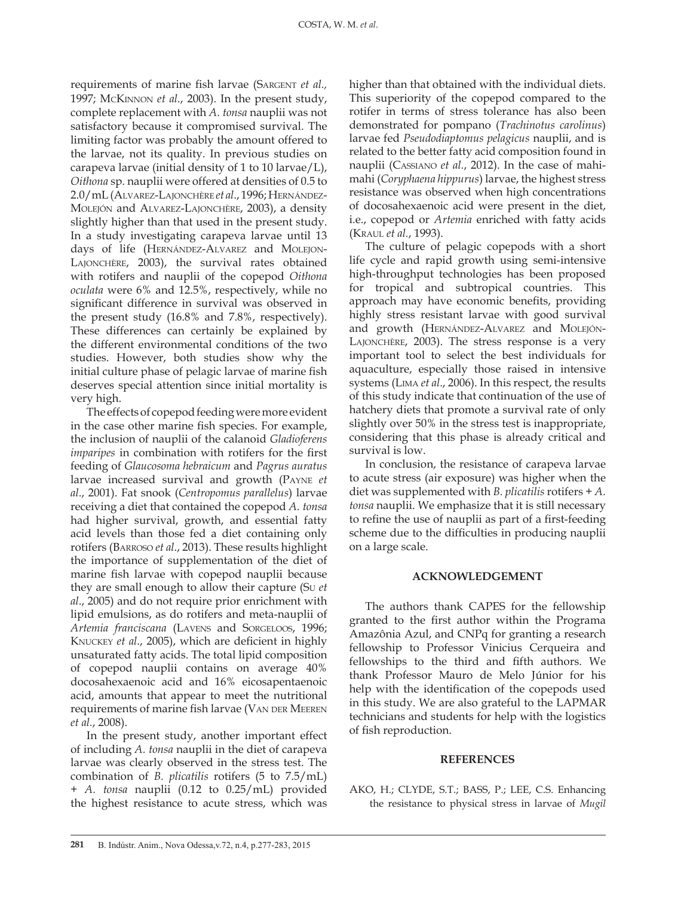requirements of marine fish larvae (SARGENT et al., 1997; McKinnon *et al.*, 2003). In the present study, complete replacement with *A. tonsa* nauplii was not satisfactory because it compromised survival. The limiting factor was probably the amount offered to the larvae, not its quality. In previous studies on carapeva larvae (initial density of 1 to 10 larvae/L), *Oithona* sp. nauplii were offered at densities of 0.5 to 2.0/mL (Alvarez-Lajonchère *et al*., 1996; Hernández-Molejón and Alvarez-Lajonchère, 2003), a density slightly higher than that used in the present study. In a study investigating carapeva larvae until 13 days of life (HERNÁNDEZ-ALVAREZ and MOLEJON-Lajonchère, 2003), the survival rates obtained with rotifers and nauplii of the copepod *Oithona oculata* were 6% and 12.5%, respectively, while no significant difference in survival was observed in the present study (16.8% and 7.8%, respectively). These differences can certainly be explained by the different environmental conditions of the two studies. However, both studies show why the initial culture phase of pelagic larvae of marine fish deserves special attention since initial mortality is very high.

The effects of copepod feeding were more evident in the case other marine fish species. For example, the inclusion of nauplii of the calanoid *Gladioferens imparipes* in combination with rotifers for the first feeding of *Glaucosoma hebraicum* and *Pagrus auratus* larvae increased survival and growth (Payne *et al*., 2001). Fat snook (*Centropomus parallelus*) larvae receiving a diet that contained the copepod *A. tonsa* had higher survival, growth, and essential fatty acid levels than those fed a diet containing only rotifers (Barroso *et al*., 2013). These results highlight the importance of supplementation of the diet of marine fish larvae with copepod nauplii because they are small enough to allow their capture (Su *et al*., 2005) and do not require prior enrichment with lipid emulsions, as do rotifers and meta-nauplii of *Artemia franciscana* (Lavens and Sorgeloos, 1996; Knuckey *et al*., 2005), which are deficient in highly unsaturated fatty acids. The total lipid composition of copepod nauplii contains on average 40% docosahexaenoic acid and 16% eicosapentaenoic acid, amounts that appear to meet the nutritional requirements of marine fish larvae (VAN DER MEEREN *et al.*, 2008).

In the present study, another important effect of including *A. tonsa* nauplii in the diet of carapeva larvae was clearly observed in the stress test. The combination of *B. plicatilis* rotifers (5 to 7.5/mL) + *A. tonsa* nauplii (0.12 to 0.25/mL) provided the highest resistance to acute stress, which was

higher than that obtained with the individual diets. This superiority of the copepod compared to the rotifer in terms of stress tolerance has also been demonstrated for pompano (*Trachinotus carolinus*) larvae fed *Pseudodiaptomus pelagicus* nauplii, and is related to the better fatty acid composition found in nauplii (Cassiano *et al.*, 2012). In the case of mahimahi (*Coryphaena hippurus*) larvae, the highest stress resistance was observed when high concentrations of docosahexaenoic acid were present in the diet, i.e., copepod or *Artemia* enriched with fatty acids (Kraul *et al.*, 1993).

The culture of pelagic copepods with a short life cycle and rapid growth using semi-intensive high-throughput technologies has been proposed for tropical and subtropical countries. This approach may have economic benefits, providing highly stress resistant larvae with good survival and growth (HERNÁNDEZ-ALVAREZ and MOLEJÓN-Lajonchère, 2003). The stress response is a very important tool to select the best individuals for aquaculture, especially those raised in intensive systems (Lima *et al*., 2006). In this respect, the results of this study indicate that continuation of the use of hatchery diets that promote a survival rate of only slightly over 50% in the stress test is inappropriate, considering that this phase is already critical and survival is low.

In conclusion, the resistance of carapeva larvae to acute stress (air exposure) was higher when the diet was supplemented with *B. plicatilis* rotifers + *A. tonsa* nauplii. We emphasize that it is still necessary to refine the use of nauplii as part of a first-feeding scheme due to the difficulties in producing nauplii on a large scale.

## **ACKNOWLEDGEMENT**

The authors thank CAPES for the fellowship granted to the first author within the Programa Amazônia Azul, and CNPq for granting a research fellowship to Professor Vinicius Cerqueira and fellowships to the third and fifth authors. We thank Professor Mauro de Melo Júnior for his help with the identification of the copepods used in this study. We are also grateful to the LAPMAR technicians and students for help with the logistics of fish reproduction.

## **REFERENCES**

AKO, H.; CLYDE, S.T.; BASS, P.; LEE, C.S. Enhancing the resistance to physical stress in larvae of *Mugil*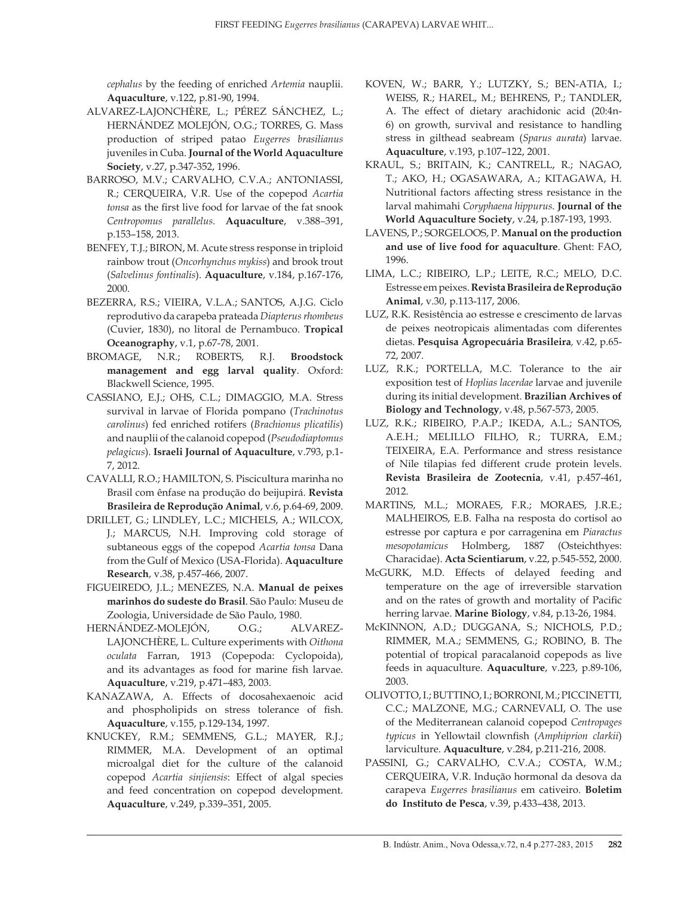*cephalus* by the feeding of enriched *Artemia* nauplii. **Aquaculture**, v.122, p.81-90, 1994.

- ALVAREZ-LAJONCHÈRE, L.; PÉREZ SÁNCHEZ, L.; HERNÁNDEZ MOLEJÓN, O.G.; TORRES, G. Mass production of striped patao *Eugerres brasilianus*  juveniles in Cuba. **Journal of the World Aquaculture Society**, v.27, p.347-352, 1996.
- BARROSO, M.V.; CARVALHO, C.V.A.; ANTONIASSI, R.; CERQUEIRA, V.R. Use of the copepod *Acartia tonsa* as the first live food for larvae of the fat snook *Centropomus parallelus.* **Aquaculture**, v.388*–*391, p.153–158, 2013.
- BENFEY, T.J.; BIRON, M. Acute stress response in triploid rainbow trout (*Oncorhynchus mykiss*) and brook trout (*Salvelinus fontinalis*). **Aquaculture**, v.184, p.167-176, 2000.
- BEZERRA, R.S.; VIEIRA, V.L.A.; SANTOS, A.J.G. Ciclo reprodutivo da carapeba prateada *Diapterus rhombeus* (Cuvier, 1830), no litoral de Pernambuco. **Tropical Oceanography**, v.1, p.67-78, 2001.
- BROMAGE, N.R.; ROBERTS, R.J. **Broodstock management and egg larval quality**. Oxford: Blackwell Science, 1995.
- CASSIANO, E.J.; OHS, C.L.; DIMAGGIO, M.A. Stress survival in larvae of Florida pompano (*Trachinotus carolinus*) fed enriched rotifers (*Brachionus plicatilis*) and nauplii of the calanoid copepod (*Pseudodiaptomus pelagicus*). **Israeli Journal of Aquaculture**, v.793, p.1- 7, 2012.
- CAVALLI, R.O.; HAMILTON, S. Piscicultura marinha no Brasil com ênfase na produção do beijupirá. **Revista Brasileira de Reprodução Animal**, v.6, p.64-69, 2009.
- DRILLET, G.; LINDLEY, L.C.; MICHELS, A.; WILCOX, J.; MARCUS, N.H. Improving cold storage of subtaneous eggs of the copepod *Acartia tonsa* Dana from the Gulf of Mexico (USA-Florida). **Aquaculture Research**, v.38, p.457-466, 2007.
- FIGUEIREDO, J.L.; MENEZES, N.A. **Manual de peixes marinhos do sudeste do Brasil**. São Paulo: Museu de Zoologia, Universidade de São Paulo, 1980.
- HERNÁNDEZ-MOLEJÓN, O.G.; ALVAREZ-LAJONCHÈRE, L. Culture experiments with *Oithona oculata* Farran, 1913 (Copepoda: Cyclopoida), and its advantages as food for marine fish larvae. **Aquaculture**, v.219, p.471–483, 2003.
- KANAZAWA, A. Effects of docosahexaenoic acid and phospholipids on stress tolerance of fish. **Aquaculture**, v.155, p.129-134, 1997.
- KNUCKEY, R.M.; SEMMENS, G.L.; MAYER, R.J.; RIMMER, M.A. Development of an optimal microalgal diet for the culture of the calanoid copepod *Acartia sinjiensis*: Effect of algal species and feed concentration on copepod development. **Aquaculture**, v.249, p.339–351, 2005.
- KOVEN, W.; BARR, Y.; LUTZKY, S.; BEN-ATIA, I.; WEISS, R.; HAREL, M.; BEHRENS, P.; TANDLER, A. The effect of dietary arachidonic acid (20:4n-6) on growth, survival and resistance to handling stress in gilthead seabream (*Sparus aurata*) larvae. **Aquaculture**, v.193, p.107–122, 2001.
- KRAUL, S.; BRITAIN, K.; CANTRELL, R.; NAGAO, T.; AKO, H.; OGASAWARA, A.; KITAGAWA, H. Nutritional factors affecting stress resistance in the larval mahimahi *Coryphaena hippurus*. **Journal of the World Aquaculture Society**, v.24, p.187-193, 1993.
- LAVENS, P.; SORGELOOS, P. **Manual on the production and use of live food for aquaculture**. Ghent: FAO, 1996.
- LIMA, L.C.; RIBEIRO, L.P.; LEITE, R.C.; MELO, D.C. Estresse em peixes. **Revista Brasileira de Reprodução Animal**, v.30, p.113-117, 2006.
- LUZ, R.K. Resistência ao estresse e crescimento de larvas de peixes neotropicais alimentadas com diferentes dietas. **Pesquisa Agropecuária Brasileira***,* v.42, p.65- 72, 2007.
- LUZ, R.K.; PORTELLA, M.C. Tolerance to the air exposition test of *Hoplias lacerdae* larvae and juvenile during its initial development. **Brazilian Archives of Biology and Technology**, v.48, p.567-573, 2005.
- LUZ, R.K.; RIBEIRO, P.A.P.; IKEDA, A.L.; SANTOS, A.E.H.; MELILLO FILHO, R.; TURRA, E.M.; TEIXEIRA, E.A. Performance and stress resistance of Nile tilapias fed different crude protein levels. **Revista Brasileira de Zootecnia**, v.41, p.457-461, 2012.
- MARTINS, M.L.; MORAES, F.R.; MORAES, J.R.E.; MALHEIROS, E.B. Falha na resposta do cortisol ao estresse por captura e por carragenina em *Piaractus mesopotamicus* Holmberg, 1887 (Osteichthyes: Characidae). **Acta Scientiarum**, v.22, p.545-552, 2000.
- McGURK, M.D. Effects of delayed feeding and temperature on the age of irreversible starvation and on the rates of growth and mortality of Pacific herring larvae. **Marine Biology**, v.84, p.13-26, 1984.
- McKINNON, A.D.; DUGGANA, S.; NICHOLS, P.D.; RIMMER, M.A.; SEMMENS, G.; ROBINO, B. The potential of tropical paracalanoid copepods as live feeds in aquaculture. **Aquaculture**, v.223, p.89-106, 2003.
- OLIVOTTO, I.; BUTTINO, I.; BORRONI, M.; PICCINETTI, C.C.; MALZONE, M.G.; CARNEVALI, O. The use of the Mediterranean calanoid copepod *Centropages typicus* in Yellowtail clownfish (*Amphiprion clarkii*) larviculture. **Aquaculture**, v.284, p.211-216, 2008.
- PASSINI, G.; CARVALHO, C.V.A.; COSTA, W.M.; CERQUEIRA, V.R. Indução hormonal da desova da carapeva *Eugerres brasilianus* em cativeiro. **Boletim do Instituto de Pesca**, v.39, p.433–438, 2013.